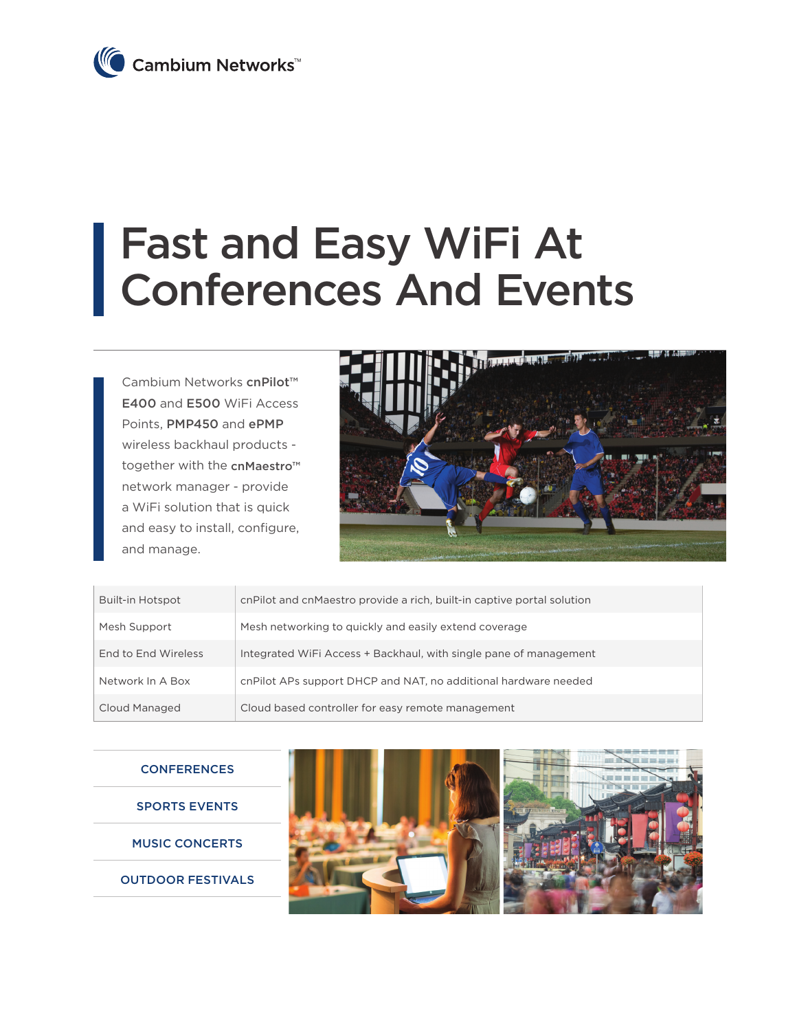

## Fast and Easy WiFi At Conferences And Events

Cambium Networks cnPilot™ E400 and E500 WiFi Access Points, PMP450 and ePMP wireless backhaul products together with the cnMaestro<sup>™</sup> network manager - provide a WiFi solution that is quick and easy to install, configure, and manage.



| <b>Built-in Hotspot</b> | cnPilot and cnMaestro provide a rich, built-in captive portal solution |
|-------------------------|------------------------------------------------------------------------|
| Mesh Support            | Mesh networking to quickly and easily extend coverage                  |
| End to End Wireless     | Integrated WiFi Access + Backhaul, with single pane of management      |
| Network In A Box        | cnPilot APs support DHCP and NAT, no additional hardware needed        |
| Cloud Managed           | Cloud based controller for easy remote management                      |

## **CONFERENCES**

SPORTS EVENTS

MUSIC CONCERTS

OUTDOOR FESTIVALS